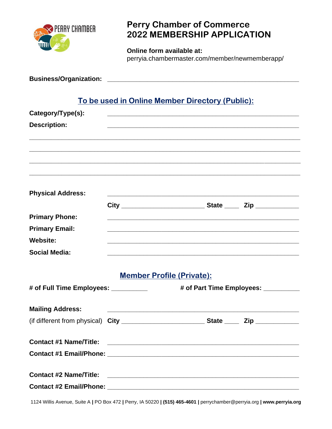

## **Perry Chamber of Commerce 2022 MEMBERSHIP APPLICATION**

**Online form available at:**  perryia.chambermaster.com/member/newmemberapp/

| To be used in Online Member Directory (Public): |                                      |  |  |  |  |  |
|-------------------------------------------------|--------------------------------------|--|--|--|--|--|
| Category/Type(s):                               |                                      |  |  |  |  |  |
| <b>Description:</b>                             |                                      |  |  |  |  |  |
|                                                 |                                      |  |  |  |  |  |
| <b>Physical Address:</b>                        |                                      |  |  |  |  |  |
|                                                 |                                      |  |  |  |  |  |
| <b>Primary Phone:</b>                           |                                      |  |  |  |  |  |
| <b>Primary Email:</b>                           |                                      |  |  |  |  |  |
| <b>Website:</b>                                 |                                      |  |  |  |  |  |
| <b>Social Media:</b>                            |                                      |  |  |  |  |  |
|                                                 | <b>Member Profile (Private):</b>     |  |  |  |  |  |
| # of Full Time Employees: _________             | # of Part Time Employees: __________ |  |  |  |  |  |
| <b>Mailing Address:</b>                         |                                      |  |  |  |  |  |
|                                                 |                                      |  |  |  |  |  |
| <b>Contact #1 Name/Title:</b>                   |                                      |  |  |  |  |  |
|                                                 |                                      |  |  |  |  |  |

**Contact #2 Name/Title: \_\_\_\_\_\_\_\_\_\_\_\_\_\_\_\_\_\_\_\_\_\_\_\_\_\_\_\_\_\_\_\_\_\_\_\_\_\_\_\_\_\_\_\_\_\_\_\_\_\_\_\_\_ Contact #2 Email/Phone: \_\_\_\_\_\_\_\_\_\_\_\_\_\_\_\_\_\_\_\_\_\_\_\_\_\_\_\_\_\_\_\_\_\_\_\_\_\_\_\_\_\_\_\_\_\_\_\_\_\_\_\_\_**

1124 Willis Avenue, Suite A **|** PO Box 472 **|** Perry, IA 50220 **| (515) 465-4601 |** perrychamber@perryia.org **| www.perryia.org**